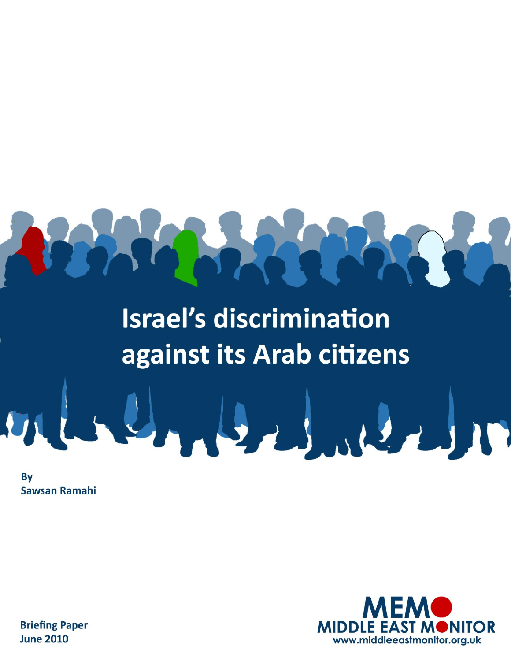## **Israel's discrimination** against its Arab citizens

**By Sawsan Ramahi** 



**Briefing Paper June 2010**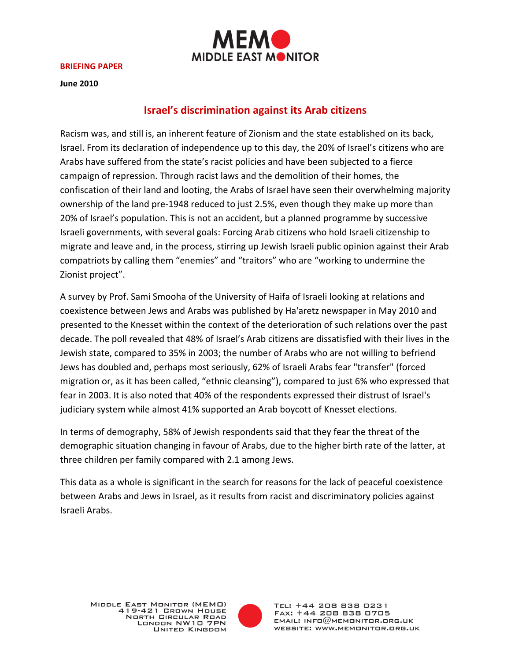

**BRIEFING PAPER**

**June 2010**

## **Israel's discrimination against its Arab citizens**

Racism was, and still is, an inherent feature of Zionism and the state established on its back, Israel. From its declaration of independence up to this day, the 20% of Israel's citizens who are Arabs have suffered from the state's racist policies and have been subjected to a fierce campaign of repression. Through racist laws and the demolition of their homes, the confiscation of their land and looting, the Arabs of Israel have seen their overwhelming majority ownership of the land pre-1948 reduced to just 2.5%, even though they make up more than 20% of Israel's population. This is not an accident, but a planned programme by successive Israeli governments, with several goals: Forcing Arab citizens who hold Israeli citizenship to migrate and leave and, in the process, stirring up Jewish Israeli public opinion against their Arab compatriots by calling them "enemies" and "traitors" who are "working to undermine the Zionist project".

A survey by Prof. Sami Smooha of the University of Haifa of Israeli looking at relations and coexistence between Jews and Arabs was published by Ha'aretz newspaper in May 2010 and presented to the Knesset within the context of the deterioration of such relations over the past decade. The poll revealed that 48% of Israel's Arab citizens are dissatisfied with their lives in the Jewish state, compared to 35% in 2003; the number of Arabs who are not willing to befriend Jews has doubled and, perhaps most seriously, 62% of Israeli Arabs fear "transfer" (forced migration or, as it has been called, "ethnic cleansing"), compared to just 6% who expressed that fear in 2003. It is also noted that 40% of the respondents expressed their distrust of Israel's judiciary system while almost 41% supported an Arab boycott of Knesset elections.

In terms of demography, 58% of Jewish respondents said that they fear the threat of the demographic situation changing in favour of Arabs, due to the higher birth rate of the latter, at three children per family compared with 2.1 among Jews.

This data as a whole is significant in the search for reasons for the lack of peaceful coexistence between Arabs and Jews in Israel, as it results from racist and discriminatory policies against Israeli Arabs.

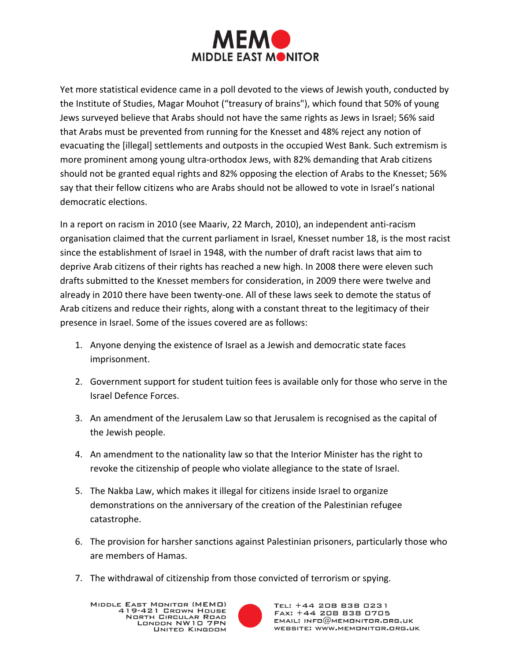

Yet more statistical evidence came in a poll devoted to the views of Jewish youth, conducted by the Institute of Studies, Magar Mouhot ("treasury of brains"), which found that 50% of young Jews surveyed believe that Arabs should not have the same rights as Jews in Israel; 56% said that Arabs must be prevented from running for the Knesset and 48% reject any notion of evacuating the [illegal] settlements and outposts in the occupied West Bank. Such extremism is more prominent among young ultra-orthodox Jews, with 82% demanding that Arab citizens should not be granted equal rights and 82% opposing the election of Arabs to the Knesset; 56% say that their fellow citizens who are Arabs should not be allowed to vote in Israel's national democratic elections.

In a report on racism in 2010 (see Maariv, 22 March, 2010), an independent anti-racism organisation claimed that the current parliament in Israel, Knesset number 18, is the most racist since the establishment of Israel in 1948, with the number of draft racist laws that aim to deprive Arab citizens of their rights has reached a new high. In 2008 there were eleven such drafts submitted to the Knesset members for consideration, in 2009 there were twelve and already in 2010 there have been twenty-one. All of these laws seek to demote the status of Arab citizens and reduce their rights, along with a constant threat to the legitimacy of their presence in Israel. Some of the issues covered are as follows:

- 1. Anyone denying the existence of Israel as a Jewish and democratic state faces imprisonment.
- 2. Government support for student tuition fees is available only for those who serve in the Israel Defence Forces.
- 3. An amendment of the Jerusalem Law so that Jerusalem is recognised as the capital of the Jewish people.
- 4. An amendment to the nationality law so that the Interior Minister has the right to revoke the citizenship of people who violate allegiance to the state of Israel.
- 5. The Nakba Law, which makes it illegal for citizens inside Israel to organize demonstrations on the anniversary of the creation of the Palestinian refugee catastrophe.
- 6. The provision for harsher sanctions against Palestinian prisoners, particularly those who are members of Hamas.
- 7. The withdrawal of citizenship from those convicted of terrorism or spying.

MIDDLE EAST MONITOR (MEMO) 419-421 GROWN HOUSE **NORTH CIRCULAR ROAD** LONDON NW10 7PN UNITED KINGDOM

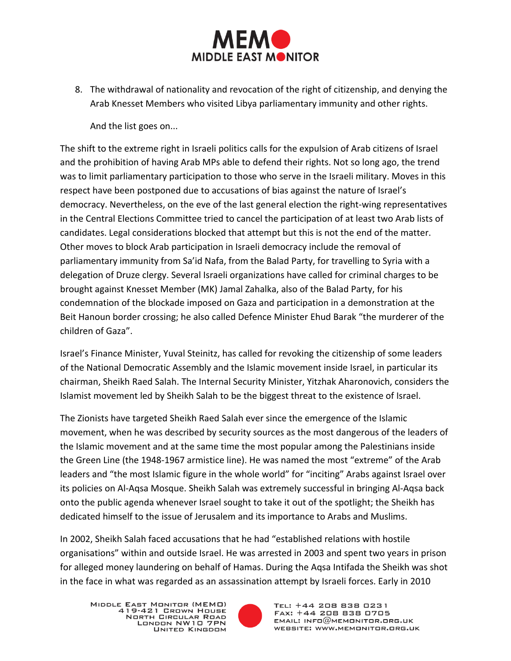

8. The withdrawal of nationality and revocation of the right of citizenship, and denying the Arab Knesset Members who visited Libya parliamentary immunity and other rights.

And the list goes on...

The shift to the extreme right in Israeli politics calls for the expulsion of Arab citizens of Israel and the prohibition of having Arab MPs able to defend their rights. Not so long ago, the trend was to limit parliamentary participation to those who serve in the Israeli military. Moves in this respect have been postponed due to accusations of bias against the nature of Israel's democracy. Nevertheless, on the eve of the last general election the right-wing representatives in the Central Elections Committee tried to cancel the participation of at least two Arab lists of candidates. Legal considerations blocked that attempt but this is not the end of the matter. Other moves to block Arab participation in Israeli democracy include the removal of parliamentary immunity from Sa'id Nafa, from the Balad Party, for travelling to Syria with a delegation of Druze clergy. Several Israeli organizations have called for criminal charges to be brought against Knesset Member (MK) Jamal Zahalka, also of the Balad Party, for his condemnation of the blockade imposed on Gaza and participation in a demonstration at the Beit Hanoun border crossing; he also called Defence Minister Ehud Barak "the murderer of the children of Gaza".

Israel's Finance Minister, Yuval Steinitz, has called for revoking the citizenship of some leaders of the National Democratic Assembly and the Islamic movement inside Israel, in particular its chairman, Sheikh Raed Salah. The Internal Security Minister, Yitzhak Aharonovich, considers the Islamist movement led by Sheikh Salah to be the biggest threat to the existence of Israel.

The Zionists have targeted Sheikh Raed Salah ever since the emergence of the Islamic movement, when he was described by security sources as the most dangerous of the leaders of the Islamic movement and at the same time the most popular among the Palestinians inside the Green Line (the 1948-1967 armistice line). He was named the most "extreme" of the Arab leaders and "the most Islamic figure in the whole world" for "inciting" Arabs against Israel over its policies on Al-Aqsa Mosque. Sheikh Salah was extremely successful in bringing Al-Aqsa back onto the public agenda whenever Israel sought to take it out of the spotlight; the Sheikh has dedicated himself to the issue of Jerusalem and its importance to Arabs and Muslims.

In 2002, Sheikh Salah faced accusations that he had "established relations with hostile organisations" within and outside Israel. He was arrested in 2003 and spent two years in prison for alleged money laundering on behalf of Hamas. During the Aqsa Intifada the Sheikh was shot in the face in what was regarded as an assassination attempt by Israeli forces. Early in 2010

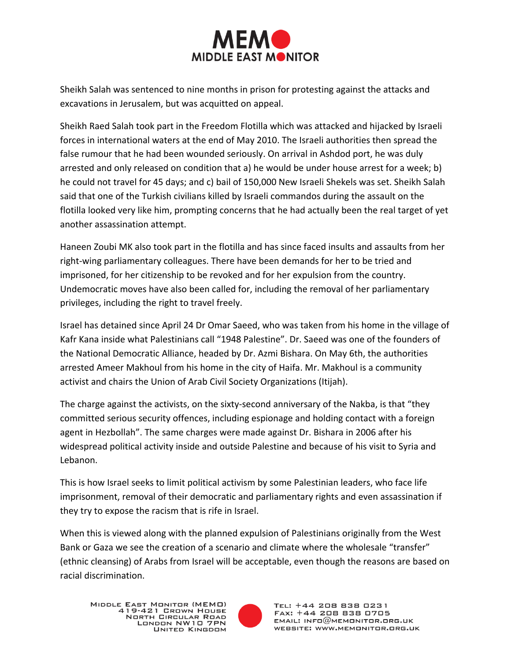

Sheikh Salah was sentenced to nine months in prison for protesting against the attacks and excavations in Jerusalem, but was acquitted on appeal.

Sheikh Raed Salah took part in the Freedom Flotilla which was attacked and hijacked by Israeli forces in international waters at the end of May 2010. The Israeli authorities then spread the false rumour that he had been wounded seriously. On arrival in Ashdod port, he was duly arrested and only released on condition that a) he would be under house arrest for a week; b) he could not travel for 45 days; and c) bail of 150,000 New Israeli Shekels was set. Sheikh Salah said that one of the Turkish civilians killed by Israeli commandos during the assault on the flotilla looked very like him, prompting concerns that he had actually been the real target of yet another assassination attempt.

Haneen Zoubi MK also took part in the flotilla and has since faced insults and assaults from her right-wing parliamentary colleagues. There have been demands for her to be tried and imprisoned, for her citizenship to be revoked and for her expulsion from the country. Undemocratic moves have also been called for, including the removal of her parliamentary privileges, including the right to travel freely.

Israel has detained since April 24 Dr Omar Saeed, who was taken from his home in the village of Kafr Kana inside what Palestinians call "1948 Palestine". Dr. Saeed was one of the founders of the National Democratic Alliance, headed by Dr. Azmi Bishara. On May 6th, the authorities arrested Ameer Makhoul from his home in the city of Haifa. Mr. Makhoul is a community activist and chairs the Union of Arab Civil Society Organizations (Itijah).

The charge against the activists, on the sixty-second anniversary of the Nakba, is that "they committed serious security offences, including espionage and holding contact with a foreign agent in Hezbollah". The same charges were made against Dr. Bishara in 2006 after his widespread political activity inside and outside Palestine and because of his visit to Syria and Lebanon.

This is how Israel seeks to limit political activism by some Palestinian leaders, who face life imprisonment, removal of their democratic and parliamentary rights and even assassination if they try to expose the racism that is rife in Israel.

When this is viewed along with the planned expulsion of Palestinians originally from the West Bank or Gaza we see the creation of a scenario and climate where the wholesale "transfer" (ethnic cleansing) of Arabs from Israel will be acceptable, even though the reasons are based on racial discrimination.

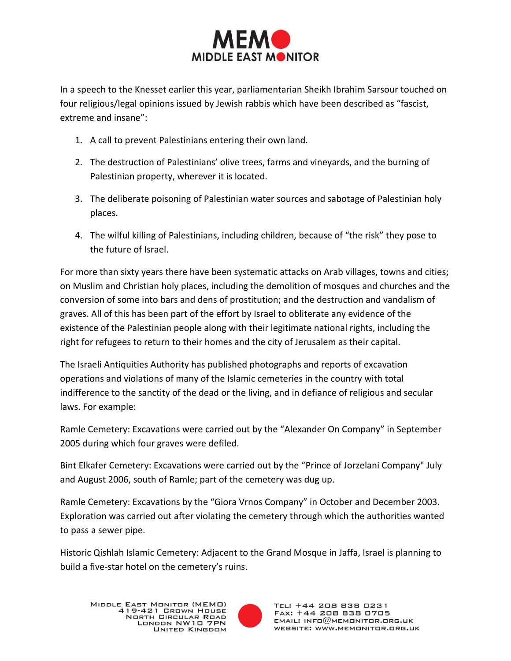

In a speech to the Knesset earlier this year, parliamentarian Sheikh Ibrahim Sarsour touched on four religious/legal opinions issued by Jewish rabbis which have been described as "fascist, extreme and insane":

- 1. A call to prevent Palestinians entering their own land.
- 2. The destruction of Palestinians' olive trees, farms and vineyards, and the burning of Palestinian property, wherever it is located.
- 3. The deliberate poisoning of Palestinian water sources and sabotage of Palestinian holy places.
- 4. The wilful killing of Palestinians, including children, because of "the risk" they pose to the future of Israel.

For more than sixty years there have been systematic attacks on Arab villages, towns and cities; on Muslim and Christian holy places, including the demolition of mosques and churches and the conversion of some into bars and dens of prostitution; and the destruction and vandalism of graves. All of this has been part of the effort by Israel to obliterate any evidence of the existence of the Palestinian people along with their legitimate national rights, including the right for refugees to return to their homes and the city of Jerusalem as their capital.

The Israeli Antiquities Authority has published photographs and reports of excavation operations and violations of many of the Islamic cemeteries in the country with total indifference to the sanctity of the dead or the living, and in defiance of religious and secular laws. For example:

Ramle Cemetery: Excavations were carried out by the "Alexander On Company" in September 2005 during which four graves were defiled.

Bint Elkafer Cemetery: Excavations were carried out by the "Prince of Jorzelani Company" July and August 2006, south of Ramle; part of the cemetery was dug up.

Ramle Cemetery: Excavations by the "Giora Vrnos Company" in October and December 2003. Exploration was carried out after violating the cemetery through which the authorities wanted to pass a sewer pipe.

Historic Qishlah Islamic Cemetery: Adjacent to the Grand Mosque in Jaffa, Israel is planning to build a five-star hotel on the cemetery's ruins.

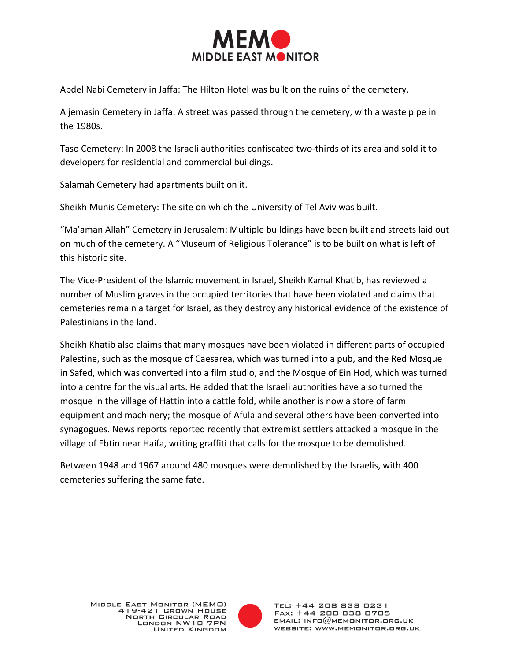

Abdel Nabi Cemetery in Jaffa: The Hilton Hotel was built on the ruins of the cemetery.

Aljemasin Cemetery in Jaffa: A street was passed through the cemetery, with a waste pipe in the 1980s.

Taso Cemetery: In 2008 the Israeli authorities confiscated two-thirds of its area and sold it to developers for residential and commercial buildings.

Salamah Cemetery had apartments built on it.

Sheikh Munis Cemetery: The site on which the University of Tel Aviv was built.

"Ma'aman Allah" Cemetery in Jerusalem: Multiple buildings have been built and streets laid out on much of the cemetery. A "Museum of Religious Tolerance" is to be built on what is left of this historic site.

The Vice-President of the Islamic movement in Israel, Sheikh Kamal Khatib, has reviewed a number of Muslim graves in the occupied territories that have been violated and claims that cemeteries remain a target for Israel, as they destroy any historical evidence of the existence of Palestinians in the land.

Sheikh Khatib also claims that many mosques have been violated in different parts of occupied Palestine, such as the mosque of Caesarea, which was turned into a pub, and the Red Mosque in Safed, which was converted into a film studio, and the Mosque of Ein Hod, which was turned into a centre for the visual arts. He added that the Israeli authorities have also turned the mosque in the village of Hattin into a cattle fold, while another is now a store of farm equipment and machinery; the mosque of Afula and several others have been converted into synagogues. News reports reported recently that extremist settlers attacked a mosque in the village of Ebtin near Haifa, writing graffiti that calls for the mosque to be demolished.

Between 1948 and 1967 around 480 mosques were demolished by the Israelis, with 400 cemeteries suffering the same fate.

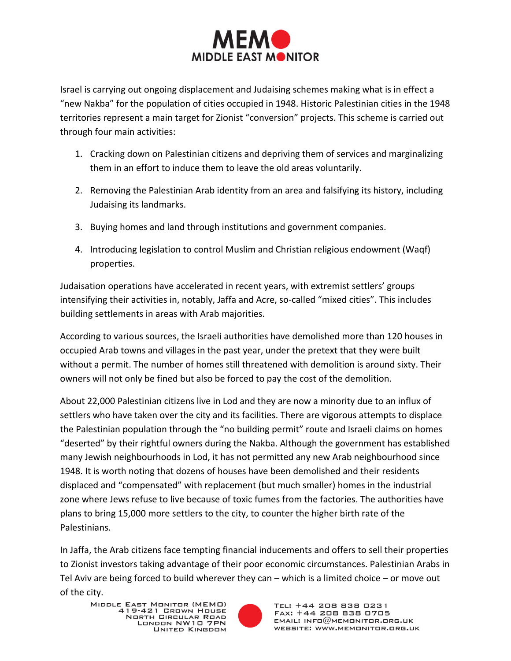

Israel is carrying out ongoing displacement and Judaising schemes making what is in effect a "new Nakba" for the population of cities occupied in 1948. Historic Palestinian cities in the 1948 territories represent a main target for Zionist "conversion" projects. This scheme is carried out through four main activities:

- 1. Cracking down on Palestinian citizens and depriving them of services and marginalizing them in an effort to induce them to leave the old areas voluntarily.
- 2. Removing the Palestinian Arab identity from an area and falsifying its history, including Judaising its landmarks.
- 3. Buying homes and land through institutions and government companies.
- 4. Introducing legislation to control Muslim and Christian religious endowment (Waqf) properties.

Judaisation operations have accelerated in recent years, with extremist settlers' groups intensifying their activities in, notably, Jaffa and Acre, so-called "mixed cities". This includes building settlements in areas with Arab majorities.

According to various sources, the Israeli authorities have demolished more than 120 houses in occupied Arab towns and villages in the past year, under the pretext that they were built without a permit. The number of homes still threatened with demolition is around sixty. Their owners will not only be fined but also be forced to pay the cost of the demolition.

About 22,000 Palestinian citizens live in Lod and they are now a minority due to an influx of settlers who have taken over the city and its facilities. There are vigorous attempts to displace the Palestinian population through the "no building permit" route and Israeli claims on homes "deserted" by their rightful owners during the Nakba. Although the government has established many Jewish neighbourhoods in Lod, it has not permitted any new Arab neighbourhood since 1948. It is worth noting that dozens of houses have been demolished and their residents displaced and "compensated" with replacement (but much smaller) homes in the industrial zone where Jews refuse to live because of toxic fumes from the factories. The authorities have plans to bring 15,000 more settlers to the city, to counter the higher birth rate of the Palestinians.

In Jaffa, the Arab citizens face tempting financial inducements and offers to sell their properties to Zionist investors taking advantage of their poor economic circumstances. Palestinian Arabs in Tel Aviv are being forced to build wherever they can – which is a limited choice – or move out of the city.

MIDDLE EAST MONITOR (MEMO) 419-421 GROWN HOUSE **NORTH CIRCULAR ROAD** LONDON NW10 7PN UNITED KINGDOM

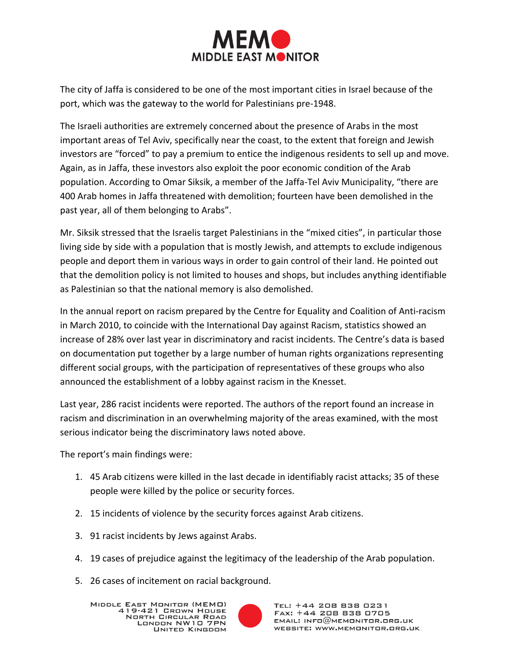

The city of Jaffa is considered to be one of the most important cities in Israel because of the port, which was the gateway to the world for Palestinians pre-1948.

The Israeli authorities are extremely concerned about the presence of Arabs in the most important areas of Tel Aviv, specifically near the coast, to the extent that foreign and Jewish investors are "forced" to pay a premium to entice the indigenous residents to sell up and move. Again, as in Jaffa, these investors also exploit the poor economic condition of the Arab population. According to Omar Siksik, a member of the Jaffa-Tel Aviv Municipality, "there are 400 Arab homes in Jaffa threatened with demolition; fourteen have been demolished in the past year, all of them belonging to Arabs".

Mr. Siksik stressed that the Israelis target Palestinians in the "mixed cities", in particular those living side by side with a population that is mostly Jewish, and attempts to exclude indigenous people and deport them in various ways in order to gain control of their land. He pointed out that the demolition policy is not limited to houses and shops, but includes anything identifiable as Palestinian so that the national memory is also demolished.

In the annual report on racism prepared by the Centre for Equality and Coalition of Anti-racism in March 2010, to coincide with the International Day against Racism, statistics showed an increase of 28% over last year in discriminatory and racist incidents. The Centre's data is based on documentation put together by a large number of human rights organizations representing different social groups, with the participation of representatives of these groups who also announced the establishment of a lobby against racism in the Knesset.

Last year, 286 racist incidents were reported. The authors of the report found an increase in racism and discrimination in an overwhelming majority of the areas examined, with the most serious indicator being the discriminatory laws noted above.

The report's main findings were:

- 1. 45 Arab citizens were killed in the last decade in identifiably racist attacks; 35 of these people were killed by the police or security forces.
- 2. 15 incidents of violence by the security forces against Arab citizens.
- 3. 91 racist incidents by Jews against Arabs.
- 4. 19 cases of prejudice against the legitimacy of the leadership of the Arab population.
- 5. 26 cases of incitement on racial background.

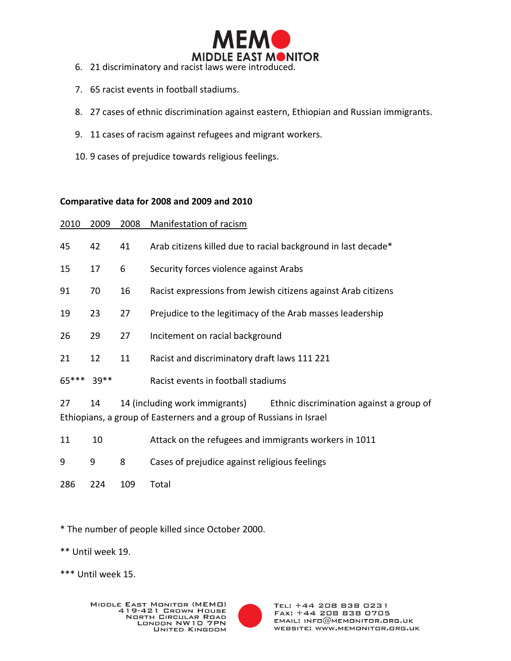

- 6. 21 discriminatory and racist laws were introduced.
- 7. 65 racist events in football stadiums.
- 8. 27 cases of ethnic discrimination against eastern, Ethiopian and Russian immigrants.
- 9. 11 cases of racism against refugees and migrant workers.
- 10. 9 cases of prejudice towards religious feelings.

## **Comparative data for 2008 and 2009 and 2010**

| 2010    | 2009  | 2008 | Manifestation of racism                                                                                                                        |
|---------|-------|------|------------------------------------------------------------------------------------------------------------------------------------------------|
| 45      | 42    | 41   | Arab citizens killed due to racial background in last decade*                                                                                  |
| 15      | 17    | 6    | Security forces violence against Arabs                                                                                                         |
| 91      | 70    | 16   | Racist expressions from Jewish citizens against Arab citizens                                                                                  |
| 19      | 23    | 27   | Prejudice to the legitimacy of the Arab masses leadership                                                                                      |
| 26      | 29    | 27   | Incitement on racial background                                                                                                                |
| 21      | 12    | 11   | Racist and discriminatory draft laws 111 221                                                                                                   |
| $65***$ | 39 ** |      | Racist events in football stadiums                                                                                                             |
| 27      | 14    |      | 14 (including work immigrants) Ethnic discrimination against a group of<br>Ethiopians, a group of Easterners and a group of Russians in Israel |
| 11      | 10    |      | Attack on the refugees and immigrants workers in 1011                                                                                          |
| 9       | 9     | 8    | Cases of prejudice against religious feelings                                                                                                  |
| 286     | 224   | 109  | Total                                                                                                                                          |

\* The number of people killed since October 2000.

\*\* Until week 19.

\*\*\* Until week 15.